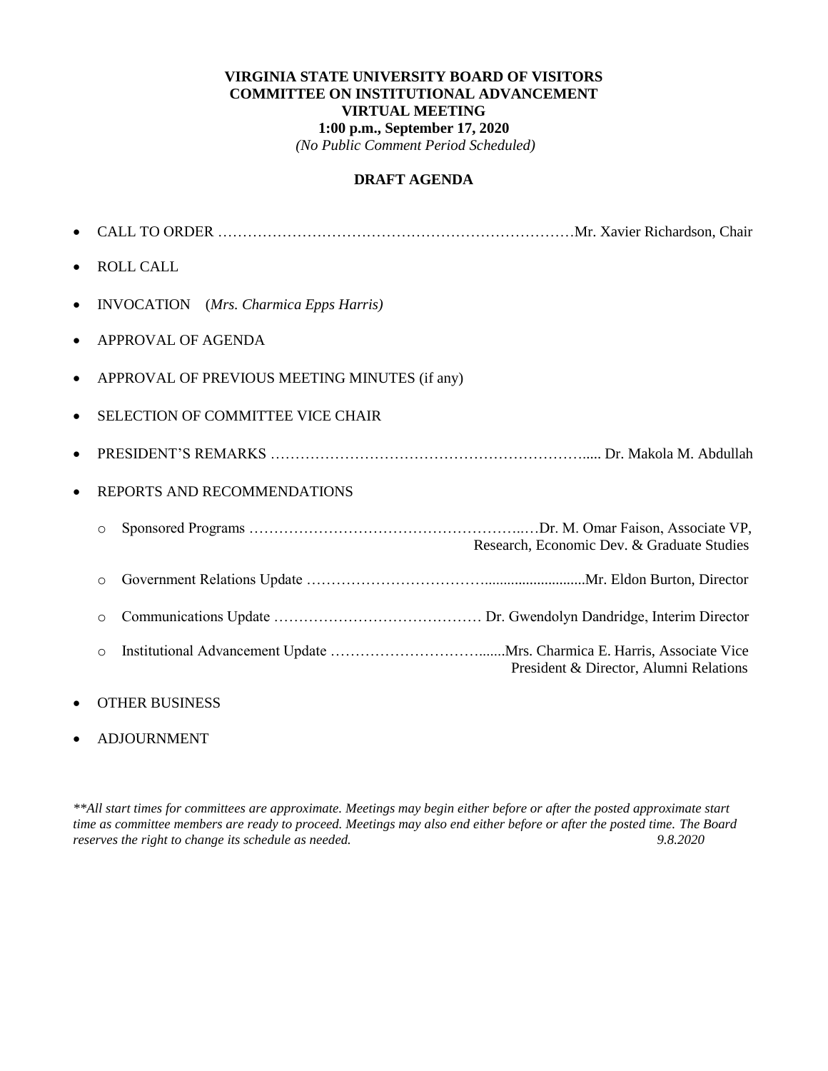#### **VIRGINIA STATE UNIVERSITY BOARD OF VISITORS COMMITTEE ON INSTITUTIONAL ADVANCEMENT VIRTUAL MEETING 1:00 p.m., September 17, 2020** *(No Public Comment Period Scheduled)*

#### **DRAFT AGENDA**

| $\bullet$ |                                                       |
|-----------|-------------------------------------------------------|
| $\bullet$ | <b>ROLL CALL</b>                                      |
| $\bullet$ | <b>INVOCATION</b> (Mrs. Charmica Epps Harris)         |
| $\bullet$ | APPROVAL OF AGENDA                                    |
| $\bullet$ | APPROVAL OF PREVIOUS MEETING MINUTES (if any)         |
| $\bullet$ | <b>SELECTION OF COMMITTEE VICE CHAIR</b>              |
|           |                                                       |
| $\bullet$ | REPORTS AND RECOMMENDATIONS                           |
|           | $\circ$<br>Research, Economic Dev. & Graduate Studies |
|           | $\circ$                                               |
|           | $\circ$                                               |
|           | $\circ$<br>President & Director, Alumni Relations     |
|           |                                                       |

# OTHER BUSINESS

#### ADJOURNMENT

*\*\*All start times for committees are approximate. Meetings may begin either before or after the posted approximate start time as committee members are ready to proceed. Meetings may also end either before or after the posted time. The Board reserves the right to change its schedule as needed. 9.8.2020*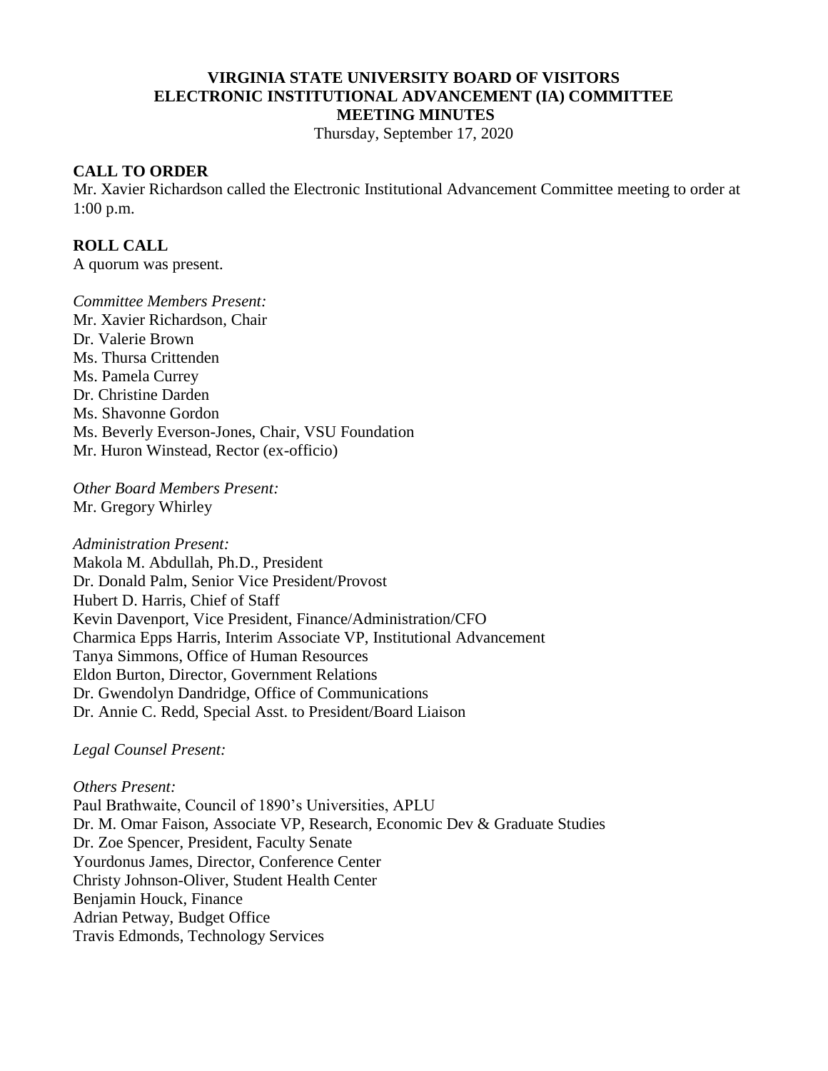#### **VIRGINIA STATE UNIVERSITY BOARD OF VISITORS ELECTRONIC INSTITUTIONAL ADVANCEMENT (IA) COMMITTEE MEETING MINUTES**

Thursday, September 17, 2020

#### **CALL TO ORDER**

Mr. Xavier Richardson called the Electronic Institutional Advancement Committee meeting to order at 1:00 p.m.

#### **ROLL CALL**

A quorum was present.

*Committee Members Present:* Mr. Xavier Richardson, Chair Dr. Valerie Brown Ms. Thursa Crittenden Ms. Pamela Currey Dr. Christine Darden Ms. Shavonne Gordon Ms. Beverly Everson-Jones, Chair, VSU Foundation Mr. Huron Winstead, Rector (ex-officio)

*Other Board Members Present:* Mr. Gregory Whirley

*Administration Present:* Makola M. Abdullah, Ph.D., President Dr. Donald Palm, Senior Vice President/Provost Hubert D. Harris, Chief of Staff Kevin Davenport, Vice President, Finance/Administration/CFO Charmica Epps Harris, Interim Associate VP, Institutional Advancement Tanya Simmons, Office of Human Resources Eldon Burton, Director, Government Relations Dr. Gwendolyn Dandridge, Office of Communications Dr. Annie C. Redd, Special Asst. to President/Board Liaison

*Legal Counsel Present:*

*Others Present:* Paul Brathwaite, Council of 1890's Universities, APLU Dr. M. Omar Faison, Associate VP, Research, Economic Dev & Graduate Studies Dr. Zoe Spencer, President, Faculty Senate Yourdonus James, Director, Conference Center Christy Johnson-Oliver, Student Health Center Benjamin Houck, Finance Adrian Petway, Budget Office Travis Edmonds, Technology Services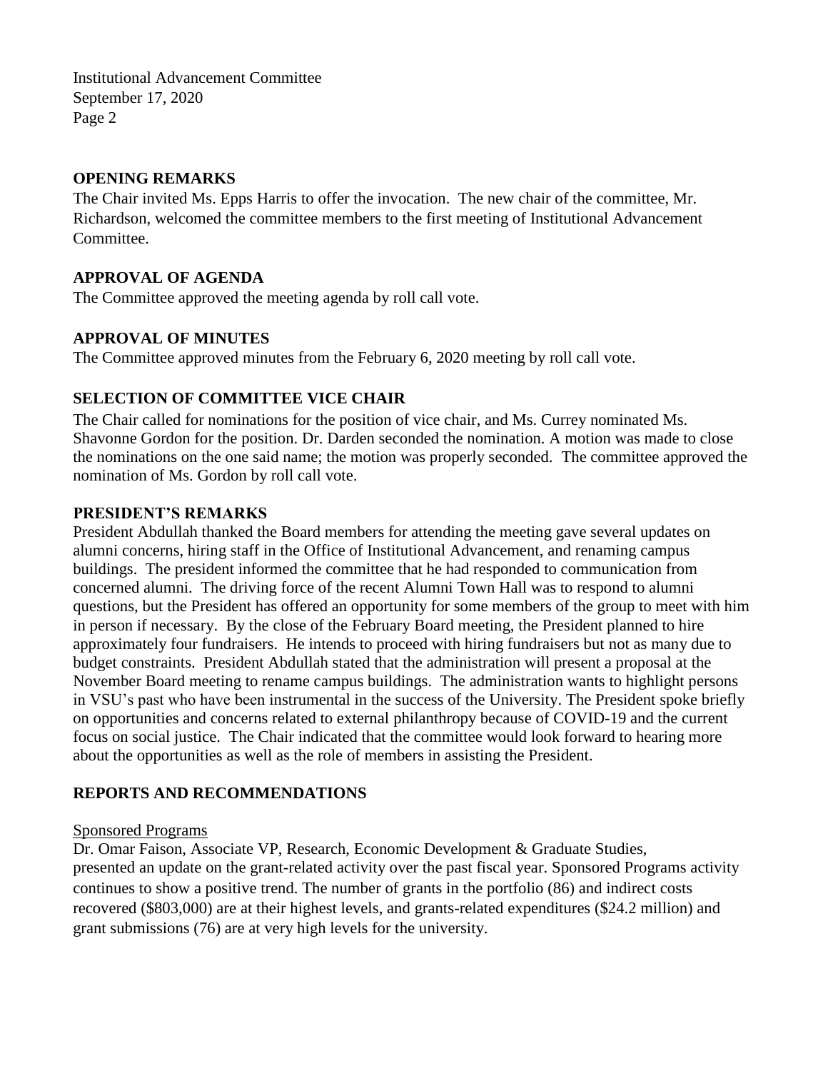## **OPENING REMARKS**

The Chair invited Ms. Epps Harris to offer the invocation. The new chair of the committee, Mr. Richardson, welcomed the committee members to the first meeting of Institutional Advancement Committee.

## **APPROVAL OF AGENDA**

The Committee approved the meeting agenda by roll call vote.

## **APPROVAL OF MINUTES**

The Committee approved minutes from the February 6, 2020 meeting by roll call vote.

# **SELECTION OF COMMITTEE VICE CHAIR**

The Chair called for nominations for the position of vice chair, and Ms. Currey nominated Ms. Shavonne Gordon for the position. Dr. Darden seconded the nomination. A motion was made to close the nominations on the one said name; the motion was properly seconded. The committee approved the nomination of Ms. Gordon by roll call vote.

### **PRESIDENT'S REMARKS**

President Abdullah thanked the Board members for attending the meeting gave several updates on alumni concerns, hiring staff in the Office of Institutional Advancement, and renaming campus buildings. The president informed the committee that he had responded to communication from concerned alumni. The driving force of the recent Alumni Town Hall was to respond to alumni questions, but the President has offered an opportunity for some members of the group to meet with him in person if necessary. By the close of the February Board meeting, the President planned to hire approximately four fundraisers. He intends to proceed with hiring fundraisers but not as many due to budget constraints. President Abdullah stated that the administration will present a proposal at the November Board meeting to rename campus buildings. The administration wants to highlight persons in VSU's past who have been instrumental in the success of the University. The President spoke briefly on opportunities and concerns related to external philanthropy because of COVID-19 and the current focus on social justice. The Chair indicated that the committee would look forward to hearing more about the opportunities as well as the role of members in assisting the President.

# **REPORTS AND RECOMMENDATIONS**

### Sponsored Programs

Dr. Omar Faison, Associate VP, Research, Economic Development & Graduate Studies, presented an update on the grant-related activity over the past fiscal year. Sponsored Programs activity continues to show a positive trend. The number of grants in the portfolio (86) and indirect costs recovered (\$803,000) are at their highest levels, and grants-related expenditures (\$24.2 million) and grant submissions (76) are at very high levels for the university.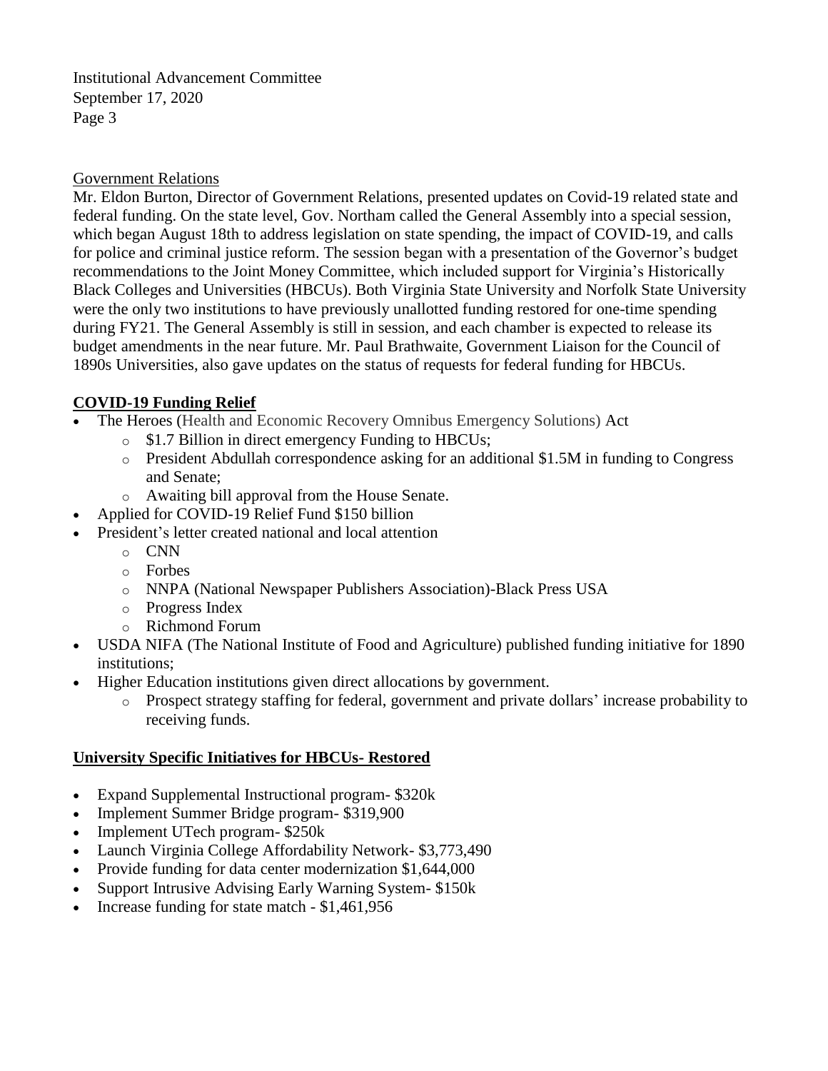#### Government Relations

Mr. Eldon Burton, Director of Government Relations, presented updates on Covid-19 related state and federal funding. On the state level, Gov. Northam called the General Assembly into a special session, which began August 18th to address legislation on state spending, the impact of COVID-19, and calls for police and criminal justice reform. The session began with a presentation of the Governor's budget recommendations to the Joint Money Committee, which included support for Virginia's Historically Black Colleges and Universities (HBCUs). Both Virginia State University and Norfolk State University were the only two institutions to have previously unallotted funding restored for one-time spending during FY21. The General Assembly is still in session, and each chamber is expected to release its budget amendments in the near future. Mr. Paul Brathwaite, Government Liaison for the Council of 1890s Universities, also gave updates on the status of requests for federal funding for HBCUs.

### **COVID-19 Funding Relief**

- The Heroes (Health and Economic Recovery Omnibus Emergency Solutions) Act
	- o \$1.7 Billion in direct emergency Funding to HBCUs;
	- o President Abdullah correspondence asking for an additional \$1.5M in funding to Congress and Senate;
	- o Awaiting bill approval from the House Senate.
- Applied for COVID-19 Relief Fund \$150 billion
- President's letter created national and local attention
	- o CNN
		- o Forbes
		- o NNPA (National Newspaper Publishers Association)-Black Press USA
		- o Progress Index
		- o Richmond Forum
- USDA NIFA (The National Institute of Food and Agriculture) published funding initiative for 1890 institutions;
- Higher Education institutions given direct allocations by government.
	- o Prospect strategy staffing for federal, government and private dollars' increase probability to receiving funds.

### **University Specific Initiatives for HBCUs- Restored**

- Expand Supplemental Instructional program- \$320k
- Implement Summer Bridge program- \$319,900
- Implement UTech program- \$250k
- Launch Virginia College Affordability Network- \$3,773,490
- Provide funding for data center modernization \$1,644,000
- Support Intrusive Advising Early Warning System- \$150k
- Increase funding for state match \$1,461,956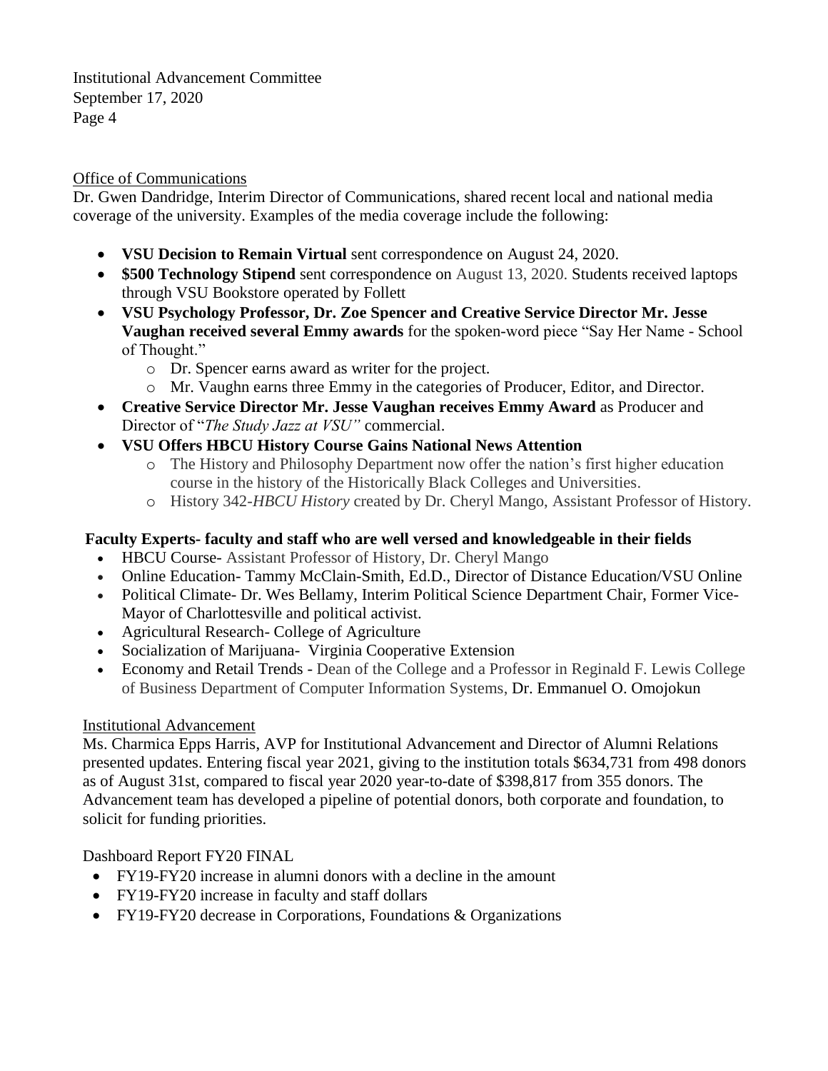### Office of Communications

Dr. Gwen Dandridge, Interim Director of Communications, shared recent local and national media coverage of the university. Examples of the media coverage include the following:

- **VSU Decision to Remain Virtual** sent correspondence on August 24, 2020.
- **\$500 Technology Stipend** sent correspondence on August 13, 2020. Students received laptops through VSU Bookstore operated by Follett
- **VSU Psychology Professor, Dr. Zoe Spencer and Creative Service Director Mr. Jesse Vaughan received several Emmy awards** for the spoken-word piece "Say Her Name - School of Thought."
	- o Dr. Spencer earns award as writer for the project.
	- o Mr. Vaughn earns three Emmy in the categories of Producer, Editor, and Director.
- **Creative Service Director Mr. Jesse Vaughan receives Emmy Award** as Producer and Director of "*The Study Jazz at VSU"* commercial.
- **VSU Offers HBCU History Course Gains National News Attention** 
	- o The History and Philosophy Department now offer the nation's first higher education course in the history of the Historically Black Colleges and Universities.
	- o History 342-*HBCU History* created by Dr. Cheryl Mango, Assistant Professor of History.

#### **Faculty Experts- faculty and staff who are well versed and knowledgeable in their fields**

- HBCU Course- Assistant Professor of History, Dr. Cheryl Mango
- Online Education- Tammy McClain-Smith, Ed.D., Director of Distance Education/VSU Online
- Political Climate- Dr. Wes Bellamy, Interim Political Science Department Chair, Former Vice-Mayor of Charlottesville and political activist.
- Agricultural Research- College of Agriculture
- Socialization of Marijuana- Virginia Cooperative Extension
- Economy and Retail Trends Dean of the College and a Professor in Reginald F. Lewis College of Business Department of Computer Information Systems, Dr. Emmanuel O. Omojokun

#### Institutional Advancement

Ms. Charmica Epps Harris, AVP for Institutional Advancement and Director of Alumni Relations presented updates. Entering fiscal year 2021, giving to the institution totals \$634,731 from 498 donors as of August 31st, compared to fiscal year 2020 year-to-date of \$398,817 from 355 donors. The Advancement team has developed a pipeline of potential donors, both corporate and foundation, to solicit for funding priorities.

Dashboard Report FY20 FINAL

- FY19-FY20 increase in alumni donors with a decline in the amount
- FY19-FY20 increase in faculty and staff dollars
- FY19-FY20 decrease in Corporations, Foundations & Organizations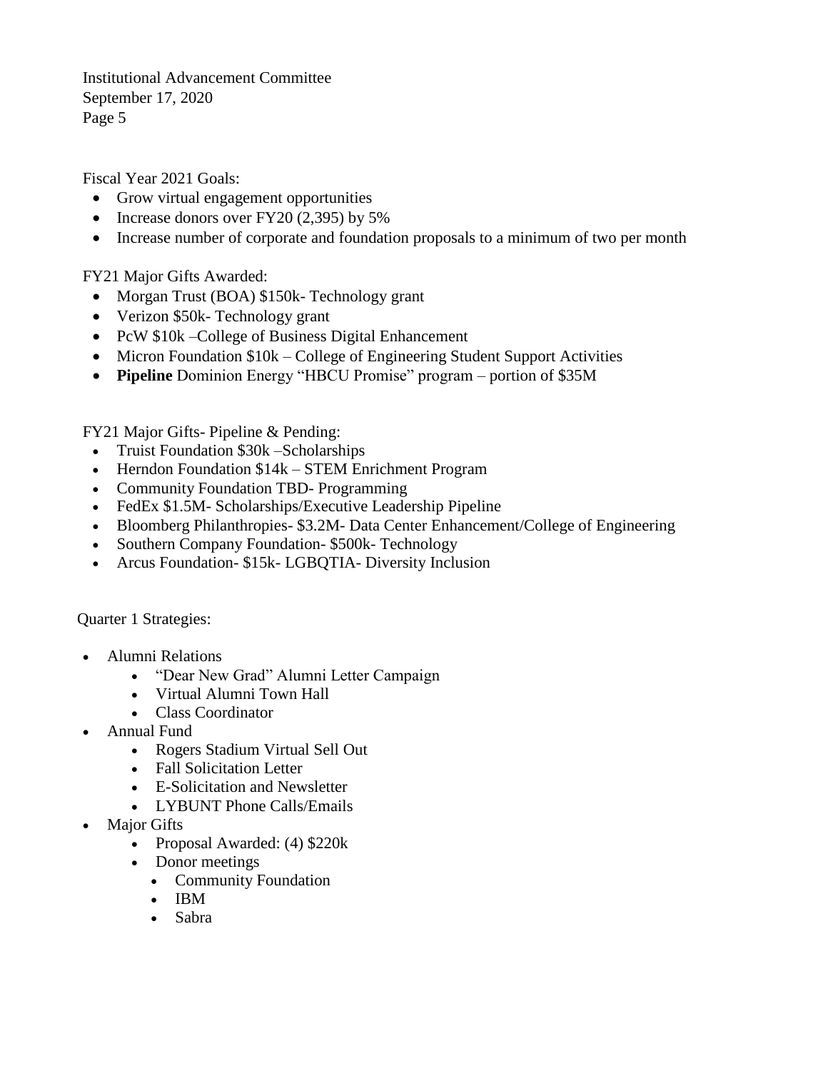Fiscal Year 2021 Goals:

- Grow virtual engagement opportunities
- Increase donors over  $FY20$  (2,395) by 5%
- Increase number of corporate and foundation proposals to a minimum of two per month

FY21 Major Gifts Awarded:

- Morgan Trust (BOA) \$150k- Technology grant
- Verizon \$50k- Technology grant
- PcW \$10k College of Business Digital Enhancement
- Micron Foundation  $$10k College$  of Engineering Student Support Activities
- **Pipeline** Dominion Energy "HBCU Promise" program portion of \$35M

FY21 Major Gifts- Pipeline & Pending:

- Truist Foundation \$30k Scholarships
- Herndon Foundation  $$14k STEM$  Enrichment Program
- Community Foundation TBD- Programming
- FedEx \$1.5M- Scholarships/Executive Leadership Pipeline
- Bloomberg Philanthropies- \$3.2M- Data Center Enhancement/College of Engineering
- Southern Company Foundation- \$500k- Technology
- Arcus Foundation- \$15k- LGBQTIA- Diversity Inclusion

Quarter 1 Strategies:

- Alumni Relations
	- "Dear New Grad" Alumni Letter Campaign
	- Virtual Alumni Town Hall
	- Class Coordinator
- Annual Fund
	- Rogers Stadium Virtual Sell Out
	- Fall Solicitation Letter
	- E-Solicitation and Newsletter
	- LYBUNT Phone Calls/Emails
- Major Gifts
	- Proposal Awarded: (4) \$220k
	- Donor meetings
		- Community Foundation
		- IBM
		- Sabra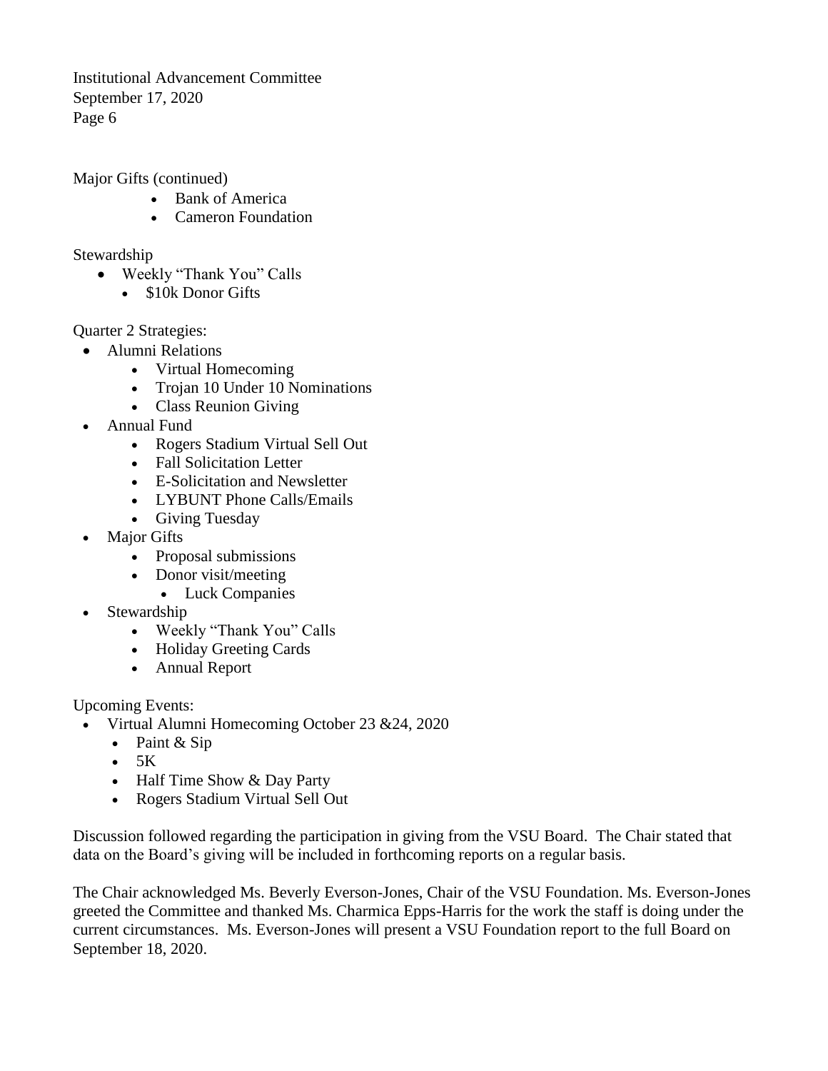Major Gifts (continued)

- Bank of America
- Cameron Foundation

Stewardship

- Weekly "Thank You" Calls
	- $\bullet$  \$10k Donor Gifts

Quarter 2 Strategies:

- Alumni Relations
	- Virtual Homecoming
	- Trojan 10 Under 10 Nominations
	- Class Reunion Giving
- Annual Fund
	- Rogers Stadium Virtual Sell Out
	- Fall Solicitation Letter
	- E-Solicitation and Newsletter
	- LYBUNT Phone Calls/Emails
	- Giving Tuesday
- Major Gifts
	- Proposal submissions
	- Donor visit/meeting
		- Luck Companies
- Stewardship
	- Weekly "Thank You" Calls
	- Holiday Greeting Cards
	- Annual Report

Upcoming Events:

- Virtual Alumni Homecoming October 23 & 24, 2020
	- Paint & Sip
	- $-5K$
	- Half Time Show & Day Party
	- Rogers Stadium Virtual Sell Out

Discussion followed regarding the participation in giving from the VSU Board. The Chair stated that data on the Board's giving will be included in forthcoming reports on a regular basis.

The Chair acknowledged Ms. Beverly Everson-Jones, Chair of the VSU Foundation. Ms. Everson-Jones greeted the Committee and thanked Ms. Charmica Epps-Harris for the work the staff is doing under the current circumstances. Ms. Everson-Jones will present a VSU Foundation report to the full Board on September 18, 2020.